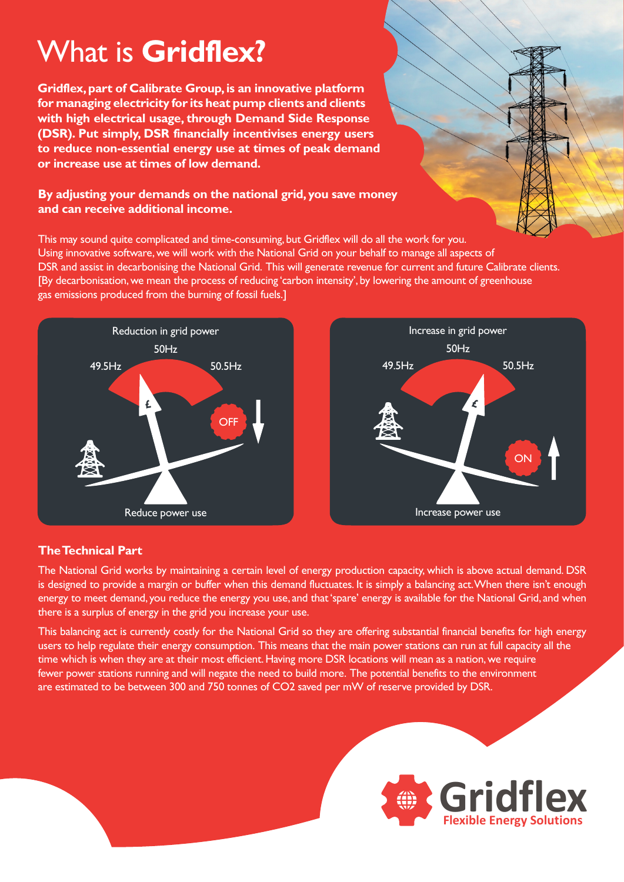# What is **Gridflex?**

**Gridflex, part of Calibrate Group, is an innovative platform for managing electricity for its heat pump clients and clients with high electrical usage, through Demand Side Response (DSR). Put simply, DSR financially incentivises energy users to reduce non-essential energy use at times of peak demand or increase use at times of low demand.**

## **By adjusting your demands on the national grid, you save money and can receive additional income.**

This may sound quite complicated and time-consuming, but Gridflex will do all the work for you. Using innovative software, we will work with the National Grid on your behalf to manage all aspects of DSR and assist in decarbonising the National Grid. This will generate revenue for current and future Calibrate clients. [By decarbonisation, we mean the process of reducing 'carbon intensity', by lowering the amount of greenhouse gas emissions produced from the burning of fossil fuels.]





# **The Technical Part**

The National Grid works by maintaining a certain level of energy production capacity, which is above actual demand. DSR is designed to provide a margin or buffer when this demand fluctuates. It is simply a balancing act. When there isn't enough energy to meet demand, you reduce the energy you use, and that 'spare' energy is available for the National Grid, and when there is a surplus of energy in the grid you increase your use.

This balancing act is currently costly for the National Grid so they are offering substantial financial benefits for high energy users to help regulate their energy consumption. This means that the main power stations can run at full capacity all the time which is when they are at their most efficient. Having more DSR locations will mean as a nation, we require fewer power stations running and will negate the need to build more. The potential benefits to the environment are estimated to be between 300 and 750 tonnes of CO2 saved per mW of reserve provided by DSR.